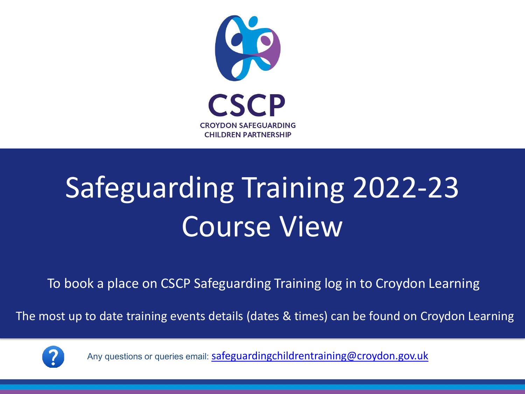

# Safeguarding Training 2022-23 Course View

To book a place on CSCP Safeguarding Training log in to Croydon Learning

The most up to date training events details (dates & times) can be found on Croydon Learning



Any questions or queries email: [safeguardingchildrentraining@croydon.gov.uk](mailto:safeguardingchildrentraining@croydon.gov.uk)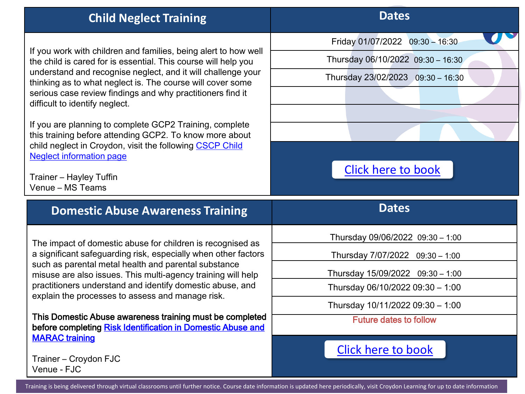| <b>Child Neglect Training</b>                                                                                                                          | <b>Dates</b>                      |
|--------------------------------------------------------------------------------------------------------------------------------------------------------|-----------------------------------|
|                                                                                                                                                        | Friday 01/07/2022 09:30 - 16:30   |
| If you work with children and families, being alert to how well<br>the child is cared for is essential. This course will help you                      | Thursday 06/10/2022 09:30 - 16:30 |
| understand and recognise neglect, and it will challenge your<br>thinking as to what neglect is. The course will cover some                             | Thursday 23/02/2023 09:30 - 16:30 |
| serious case review findings and why practitioners find it<br>difficult to identify neglect.                                                           |                                   |
| If you are planning to complete GCP2 Training, complete                                                                                                |                                   |
| this training before attending GCP2. To know more about<br>child neglect in Croydon, visit the following CSCP Child<br><b>Neglect information page</b> |                                   |
| Trainer - Hayley Tuffin<br>Venue - MS Teams                                                                                                            | <b>Click here to book</b>         |
| <b>Domestic Abuse Awareness Training</b>                                                                                                               | <b>Dates</b>                      |
| The impact of domestic abuse for children is recognised as                                                                                             | Thursday 09/06/2022 09:30 - 1:00  |
| a significant safeguarding risk, especially when other factors                                                                                         | Thursday 7/07/2022 09:30 - 1:00   |
| such as parental metal health and parental substance<br>misuse are also issues. This multi-agency training will help                                   | Thursday 15/09/2022 09:30 - 1:00  |
| practitioners understand and identify domestic abuse, and<br>explain the processes to assess and manage risk.                                          | Thursday 06/10/2022 09:30 - 1:00  |
|                                                                                                                                                        | Thursday 10/11/2022 09:30 - 1:00  |
| This Domestic Abuse awareness training must be completed<br>before completing Risk Identification in Domestic Abuse and<br><b>MARAC</b> training       | <b>Future dates to follow</b>     |
| Trainer - Croydon FJC                                                                                                                                  | <b>Click here to book</b>         |

Training is being delivered through virtual classrooms until further notice. Course date information is updated here periodically, visit Croydon Learning for up to date information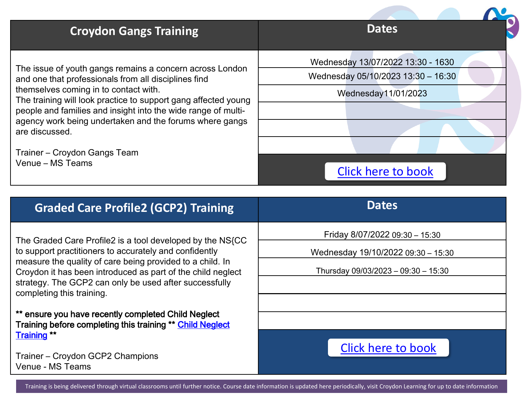| <b>Croydon Gangs Training</b>                                                                                                                                                                                                                                                                                                                                                                                                 | <b>Dates</b>                                                                                                                |
|-------------------------------------------------------------------------------------------------------------------------------------------------------------------------------------------------------------------------------------------------------------------------------------------------------------------------------------------------------------------------------------------------------------------------------|-----------------------------------------------------------------------------------------------------------------------------|
| The issue of youth gangs remains a concern across London<br>and one that professionals from all disciplines find<br>themselves coming in to contact with.<br>The training will look practice to support gang affected young<br>people and families and insight into the wide range of multi-<br>agency work being undertaken and the forums where gangs<br>are discussed.<br>Trainer – Croydon Gangs Team<br>Venue - MS Teams | Wednesday 13/07/2022 13:30 - 1630<br>Wednesday 05/10/2023 13:30 - 16:30<br>Wednesday11/01/2023<br><b>Click here to book</b> |
| <b>Graded Care Profile2 (GCP2) Training</b>                                                                                                                                                                                                                                                                                                                                                                                   | <b>Dates</b>                                                                                                                |
| The Graded Care Profile2 is a tool developed by the NS{CC<br>to support practitioners to accurately and confidently<br>measure the quality of care being provided to a child. In<br>Croydon it has been introduced as part of the child neglect<br>strategy. The GCP2 can only be used after successfully                                                                                                                     | Friday 8/07/2022 09:30 - 15:30<br>Wednesday 19/10/2022 09:30 - 15:30<br>Thursday 09/03/2023 - 09:30 - 15:30                 |
| completing this training.                                                                                                                                                                                                                                                                                                                                                                                                     |                                                                                                                             |

\*\* ensure you have recently completed Child Neglect [Training before completing this training \\*\\* Child Neglect](https://croydon.learningpool.com/course/view.php?id=313)  Training \*\*

Trainer – Croydon GCP2 Champions Venue - MS Teams

#### [Click here to book](https://croydon.learningpool.com/course/view.php?id=355)

Training is being delivered through virtual classrooms until further notice. Course date information is updated here periodically, visit Croydon Learning for up to date information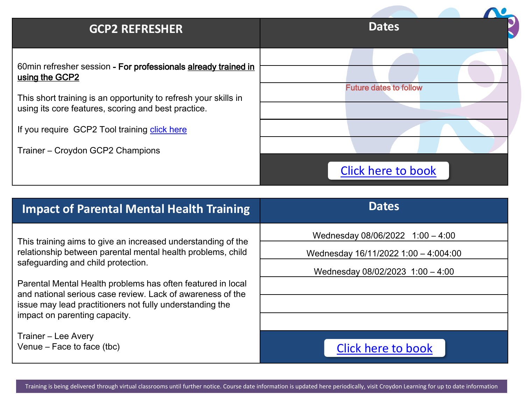#### **GCP2 REFRESHER**

60min refresher session - For professionals already trained in using the GCP2

This short training is an opportunity to refresh your skills in using its core features, scoring and best practice.

If you require GCP2 Tool training [click here](https://croydon.learningpool.com/course/view.php?id=355)

Trainer – Croydon GCP2 Champions

|  | <b>Dates</b>                  |  |
|--|-------------------------------|--|
|  |                               |  |
|  |                               |  |
|  | <b>Future dates to follow</b> |  |
|  |                               |  |
|  |                               |  |
|  |                               |  |
|  | <b>Click here to book</b>     |  |

| <b>Impact of Parental Mental Health Training</b>                                                                            | <b>Dates</b>                                                             |  |
|-----------------------------------------------------------------------------------------------------------------------------|--------------------------------------------------------------------------|--|
| This training aims to give an increased understanding of the<br>relationship between parental mental health problems, child | Wednesday 08/06/2022 1:00 - 4:00<br>Wednesday 16/11/2022 1:00 - 4:004:00 |  |
| safeguarding and child protection.                                                                                          | Wednesday 08/02/2023 1:00 - 4:00                                         |  |
| Parental Mental Health problems has often featured in local<br>and national serious case review. Lack of awareness of the   |                                                                          |  |
| issue may lead practitioners not fully understanding the<br>impact on parenting capacity.                                   |                                                                          |  |
|                                                                                                                             |                                                                          |  |
| Trainer - Lee Avery<br>Venue – Face to face (tbc)                                                                           | Click here to book                                                       |  |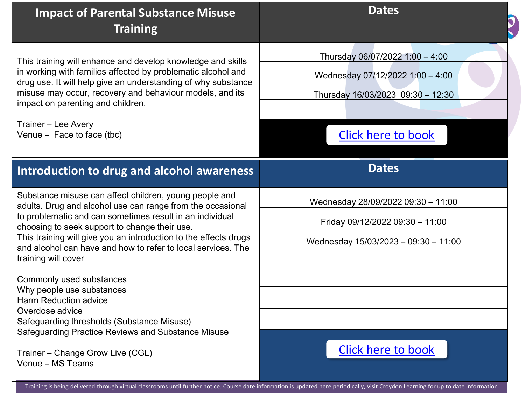| <b>Impact of Parental Substance Misuse</b><br><b>Training</b>                                                                                                                                                                                                                                                                                                                                | <b>Dates</b>                                                                                                                          |
|----------------------------------------------------------------------------------------------------------------------------------------------------------------------------------------------------------------------------------------------------------------------------------------------------------------------------------------------------------------------------------------------|---------------------------------------------------------------------------------------------------------------------------------------|
| This training will enhance and develop knowledge and skills<br>in working with families affected by problematic alcohol and<br>drug use. It will help give an understanding of why substance<br>misuse may occur, recovery and behaviour models, and its<br>impact on parenting and children.<br>Trainer - Lee Avery<br>Venue $-$ Face to face (tbc)                                         | Thursday 06/07/2022 1:00 - 4:00<br>Wednesday 07/12/2022 1:00 - 4:00<br>Thursday 16/03/2023 09:30 - 12:30<br><b>Click here to book</b> |
| Introduction to drug and alcohol awareness                                                                                                                                                                                                                                                                                                                                                   | <b>Dates</b>                                                                                                                          |
| Substance misuse can affect children, young people and<br>adults. Drug and alcohol use can range from the occasional<br>to problematic and can sometimes result in an individual<br>choosing to seek support to change their use.<br>This training will give you an introduction to the effects drugs<br>and alcohol can have and how to refer to local services. The<br>training will cover | Wednesday 28/09/2022 09:30 - 11:00<br>Friday 09/12/2022 09:30 - 11:00<br>Wednesday 15/03/2023 - 09:30 - 11:00                         |
| Commonly used substances<br>Why people use substances<br><b>Harm Reduction advice</b><br>Overdose advice<br>Safeguarding thresholds (Substance Misuse)<br>Safeguarding Practice Reviews and Substance Misuse<br>Trainer - Change Grow Live (CGL)                                                                                                                                             | <b>Click here to book</b>                                                                                                             |

Training is being delivered through virtual classrooms until further notice. Course date information is updated here periodically, visit Croydon Learning for up to date information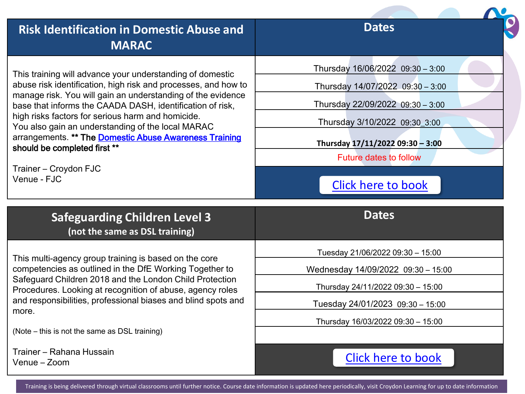| <b>Risk Identification in Domestic Abuse and</b><br><b>MARAC</b>                                                         | <b>Dates</b>                       |
|--------------------------------------------------------------------------------------------------------------------------|------------------------------------|
| This training will advance your understanding of domestic                                                                | Thursday 16/06/2022 09:30 - 3:00   |
| abuse risk identification, high risk and processes, and how to                                                           | Thursday 14/07/2022 09:30 - 3:00   |
| manage risk. You will gain an understanding of the evidence<br>base that informs the CAADA DASH, identification of risk, | Thursday 22/09/2022 09:30 - 3:00   |
| high risks factors for serious harm and homicide.<br>You also gain an understanding of the local MARAC                   | Thursday 3/10/2022 09:30_3:00      |
| arrangements. ** The Domestic Abuse Awareness Training<br>should be completed first **                                   | Thursday 17/11/2022 09:30 - 3:00   |
|                                                                                                                          | <b>Future dates to follow</b>      |
| Trainer - Croydon FJC<br>Venue - FJC                                                                                     | <b>Click here to book</b>          |
|                                                                                                                          |                                    |
| <b>Safeguarding Children Level 3</b><br>(not the same as DSL training)                                                   | <b>Dates</b>                       |
|                                                                                                                          | Tuesday 21/06/2022 09:30 - 15:00   |
| This multi-agency group training is based on the core<br>competencies as outlined in the DfE Working Together to         | Wednesday 14/09/2022 09:30 - 15:00 |
| Safeguard Children 2018 and the London Child Protection<br>Procedures. Looking at recognition of abuse, agency roles     | Thursday 24/11/2022 09:30 - 15:00  |
| and responsibilities, professional biases and blind spots and                                                            | Tuesday 24/01/2023 09:30 - 15:00   |
| more.<br>(Note – this is not the same as DSL training)                                                                   | Thursday 16/03/2022 09:30 - 15:00  |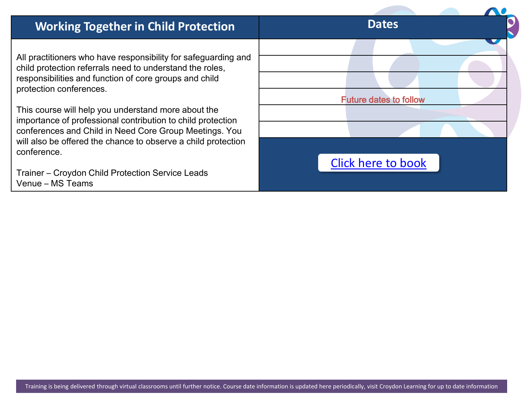### **Working Together in Child Protection Dates**

All practitioners who have responsibility for safeguarding and child protection referrals need to understand the roles, responsibilities and function of core groups and child protection conferences.

This course will help you understand more about the importance of professional contribution to child protection conferences and Child in Need Core Group Meetings. You will also be offered the chance to observe a child protection conference.

Trainer – Croydon Child Protection Service Leads Venue – MS Teams

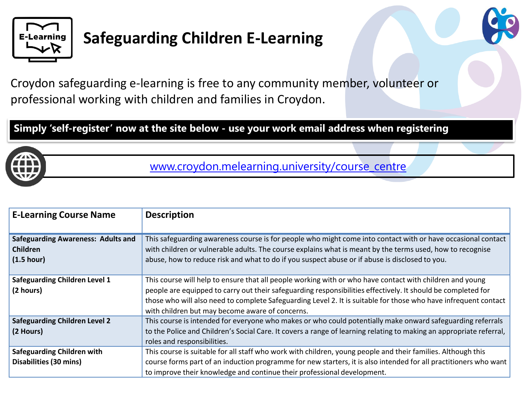

## **Safeguarding Children E-Learning**



Croydon safeguarding e-learning is free to any community member, volunteer or professional working with children and families in Croydon.

**Simply 'self-register' now at the site below - use your work email address when registering**



[www.croydon.melearning.university/course\\_centre](https://croydon.melearning.university/course_centre)

| <b>E-Learning Course Name</b>             | <b>Description</b>                                                                                                  |
|-------------------------------------------|---------------------------------------------------------------------------------------------------------------------|
|                                           |                                                                                                                     |
| <b>Safeguarding Awareness: Adults and</b> | This safeguarding awareness course is for people who might come into contact with or have occasional contact        |
| <b>Children</b>                           | with children or vulnerable adults. The course explains what is meant by the terms used, how to recognise           |
| (1.5 hour)                                | abuse, how to reduce risk and what to do if you suspect abuse or if abuse is disclosed to you.                      |
|                                           |                                                                                                                     |
| <b>Safeguarding Children Level 1</b>      | This course will help to ensure that all people working with or who have contact with children and young            |
| (2 hours)                                 | people are equipped to carry out their safeguarding responsibilities effectively. It should be completed for        |
|                                           | those who will also need to complete Safeguarding Level 2. It is suitable for those who have infrequent contact     |
|                                           | with children but may become aware of concerns.                                                                     |
| <b>Safeguarding Children Level 2</b>      | This course is intended for everyone who makes or who could potentially make onward safeguarding referrals          |
| (2 Hours)                                 | to the Police and Children's Social Care. It covers a range of learning relating to making an appropriate referral, |
|                                           | roles and responsibilities.                                                                                         |
| <b>Safeguarding Children with</b>         | This course is suitable for all staff who work with children, young people and their families. Although this        |
| <b>Disabilities (30 mins)</b>             | course forms part of an induction programme for new starters, it is also intended for all practitioners who want    |
|                                           | to improve their knowledge and continue their professional development.                                             |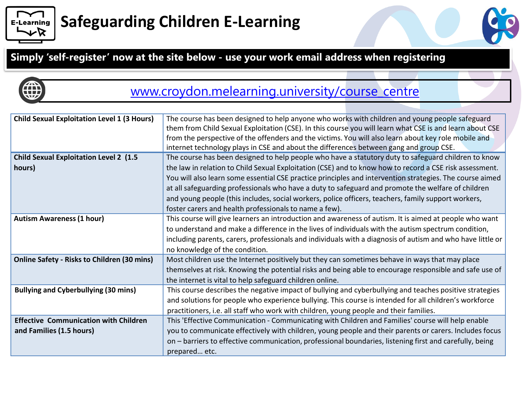

# **Safeguarding Children E-Learning**





### [www.croydon.melearning.university/course\\_centre](https://croydon.melearning.university/course_centre)

| <b>Child Sexual Exploitation Level 1 (3 Hours)</b> | The course has been designed to help anyone who works with children and young people safeguard             |
|----------------------------------------------------|------------------------------------------------------------------------------------------------------------|
|                                                    | them from Child Sexual Exploitation (CSE). In this course you will learn what CSE is and learn about CSE   |
|                                                    | from the perspective of the offenders and the victims. You will also learn about key role mobile and       |
|                                                    | internet technology plays in CSE and about the differences between gang and group CSE.                     |
| <b>Child Sexual Exploitation Level 2 (1.5</b>      | The course has been designed to help people who have a statutory duty to safeguard children to know        |
| hours)                                             | the law in relation to Child Sexual Exploitation (CSE) and to know how to record a CSE risk assessment.    |
|                                                    | You will also learn some essential CSE practice principles and intervention strategies. The course aimed   |
|                                                    | at all safeguarding professionals who have a duty to safeguard and promote the welfare of children         |
|                                                    | and young people (this includes, social workers, police officers, teachers, family support workers,        |
|                                                    | foster carers and health professionals to name a few).                                                     |
| <b>Autism Awareness (1 hour)</b>                   | This course will give learners an introduction and awareness of autism. It is aimed at people who want     |
|                                                    | to understand and make a difference in the lives of individuals with the autism spectrum condition,        |
|                                                    | including parents, carers, professionals and individuals with a diagnosis of autism and who have little or |
|                                                    | no knowledge of the condition.                                                                             |
| <b>Online Safety - Risks to Children (30 mins)</b> | Most children use the Internet positively but they can sometimes behave in ways that may place             |
|                                                    | themselves at risk. Knowing the potential risks and being able to encourage responsible and safe use of    |
|                                                    | the internet is vital to help safeguard children online.                                                   |
| <b>Bullying and Cyberbullying (30 mins)</b>        | This course describes the negative impact of bullying and cyberbullying and teaches positive strategies    |
|                                                    | and solutions for people who experience bullying. This course is intended for all children's workforce     |
|                                                    | practitioners, i.e. all staff who work with children, young people and their families.                     |
| <b>Effective Communication with Children</b>       | This 'Effective Communication - Communicating with Children and Families' course will help enable          |
| and Families (1.5 hours)                           | you to communicate effectively with children, young people and their parents or carers. Includes focus     |
|                                                    | on - barriers to effective communication, professional boundaries, listening first and carefully, being    |
|                                                    | prepared etc.                                                                                              |
|                                                    |                                                                                                            |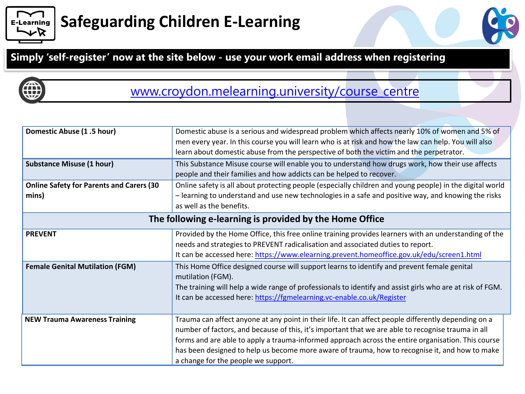

# **Safeguarding Children E-Learning**

#### **Simply 'self-register' now at the site below - use your work email address when registering**



### [www.croydon.melearning.university/course\\_centre](https://croydon.melearning.university/course_centre)

| Domestic Abuse (1.5 hour)<br><b>Substance Misuse (1 hour)</b><br><b>Online Safety for Parents and Carers (30</b> | Domestic abuse is a serious and widespread problem which affects nearly 10% of women and 5% of<br>men every year. In this course you will learn who is at risk and how the law can help. You will also<br>learn about domestic abuse from the perspective of both the victim and the perpetrator.<br>This Substance Misuse course will enable you to understand how drugs work, how their use affects<br>people and their families and how addicts can be helped to recover.<br>Online safety is all about protecting people (especially children and young people) in the digital world |  |
|------------------------------------------------------------------------------------------------------------------|------------------------------------------------------------------------------------------------------------------------------------------------------------------------------------------------------------------------------------------------------------------------------------------------------------------------------------------------------------------------------------------------------------------------------------------------------------------------------------------------------------------------------------------------------------------------------------------|--|
| mins)                                                                                                            | - learning to understand and use new technologies in a safe and positive way, and knowing the risks<br>as well as the benefits.                                                                                                                                                                                                                                                                                                                                                                                                                                                          |  |
| The following e-learning is provided by the Home Office                                                          |                                                                                                                                                                                                                                                                                                                                                                                                                                                                                                                                                                                          |  |
| <b>PREVENT</b>                                                                                                   | Provided by the Home Office, this free online training provides learners with an understanding of the<br>needs and strategies to PREVENT radicalisation and associated duties to report.<br>It can be accessed here: https://www.elearning.prevent.homeoffice.gov.uk/edu/screen1.html                                                                                                                                                                                                                                                                                                    |  |
| <b>Female Genital Mutilation (FGM)</b>                                                                           | This Home Office designed course will support learns to identify and prevent female genital<br>mutilation (FGM).<br>The training will help a wide range of professionals to identify and assist girls who are at risk of FGM.<br>It can be accessed here: https://fgmelearning.vc-enable.co.uk/Register                                                                                                                                                                                                                                                                                  |  |
| <b>NEW Trauma Awareness Training</b>                                                                             | Trauma can affect anyone at any point in their life. It can affect people differently depending on a<br>number of factors, and because of this, it's important that we are able to recognise trauma in all<br>forms and are able to apply a trauma-informed approach across the entire organisation. This course<br>has been designed to help us become more aware of trauma, how to recognise it, and how to make<br>a change for the people we support.                                                                                                                                |  |